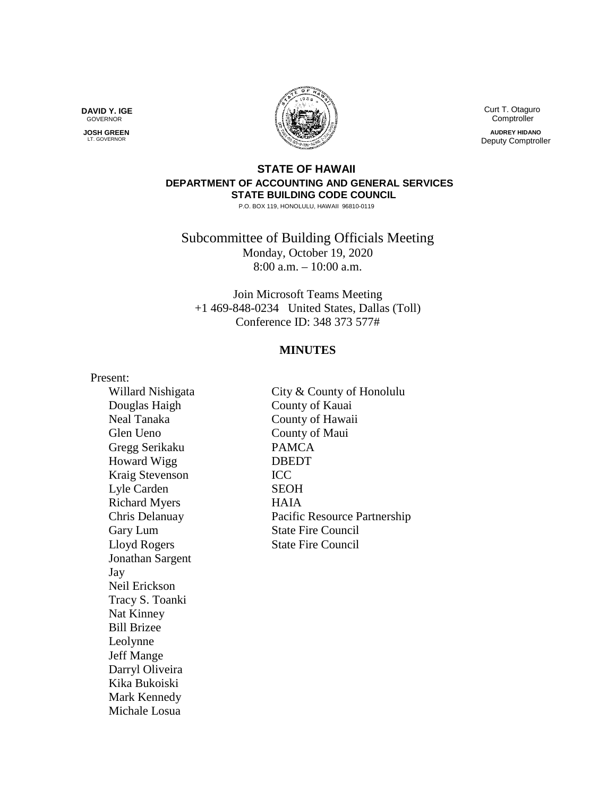**DAVID Y. IGE** GOVERNOR

 **JOSH GREEN LT. GOVERNOR** 



 Curt T. Otaguro **Comptroller** 

**AUDREY HIDANO** Deputy Comptroller

## **STATE OF HAWAII DEPARTMENT OF ACCOUNTING AND GENERAL SERVICES STATE BUILDING CODE COUNCIL**

P.O. BOX 119, HONOLULU, HAWAII 96810-0119

Subcommittee of Building Officials Meeting Monday, October 19, 2020 8:00 a.m. – 10:00 a.m.

Join Microsoft Teams Meeting +1 469-848-0234 United States, Dallas (Toll) Conference ID: 348 373 577#

## **MINUTES**

Present:

Douglas Haigh County of Kauai Glen Ueno County of Maui Gregg Serikaku PAMCA Howard Wigg DBEDT Kraig Stevenson ICC Lyle Carden SEOH Richard Myers HAIA Lloyd Rogers State Fire Council Jonathan Sargent Jay Neil Erickson Tracy S. Toanki Nat Kinney Bill Brizee Leolynne Jeff Mange Darryl Oliveira Kika Bukoiski Mark Kennedy Michale Losua

Willard Nishigata City & County of Honolulu Neal Tanaka County of Hawaii Chris Delanuay Pacific Resource Partnership Gary Lum State Fire Council